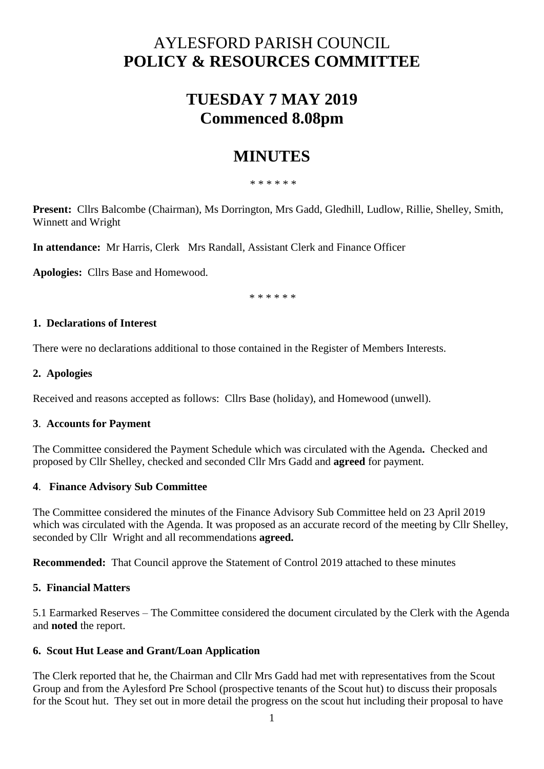# AYLESFORD PARISH COUNCIL **POLICY & RESOURCES COMMITTEE**

# **TUESDAY 7 MAY 2019 Commenced 8.08pm**

## **MINUTES**

\* \* \* \* \* \*

**Present:** Cllrs Balcombe (Chairman), Ms Dorrington, Mrs Gadd, Gledhill, Ludlow, Rillie, Shelley, Smith, Winnett and Wright

**In attendance:** Mr Harris, Clerk Mrs Randall, Assistant Clerk and Finance Officer

**Apologies:** Cllrs Base and Homewood.

\* \* \* \* \* \*

### **1. Declarations of Interest**

There were no declarations additional to those contained in the Register of Members Interests.

## **2. Apologies**

Received and reasons accepted as follows: Cllrs Base (holiday), and Homewood (unwell).

### **3**. **Accounts for Payment**

The Committee considered the Payment Schedule which was circulated with the Agenda**.** Checked and proposed by Cllr Shelley, checked and seconded Cllr Mrs Gadd and **agreed** for payment.

### **4**. **Finance Advisory Sub Committee**

The Committee considered the minutes of the Finance Advisory Sub Committee held on 23 April 2019 which was circulated with the Agenda. It was proposed as an accurate record of the meeting by Cllr Shelley, seconded by Cllr Wright and all recommendations **agreed.** 

**Recommended:** That Council approve the Statement of Control 2019 attached to these minutes

### **5. Financial Matters**

5.1 Earmarked Reserves – The Committee considered the document circulated by the Clerk with the Agenda and **noted** the report.

### **6. Scout Hut Lease and Grant/Loan Application**

The Clerk reported that he, the Chairman and Cllr Mrs Gadd had met with representatives from the Scout Group and from the Aylesford Pre School (prospective tenants of the Scout hut) to discuss their proposals for the Scout hut. They set out in more detail the progress on the scout hut including their proposal to have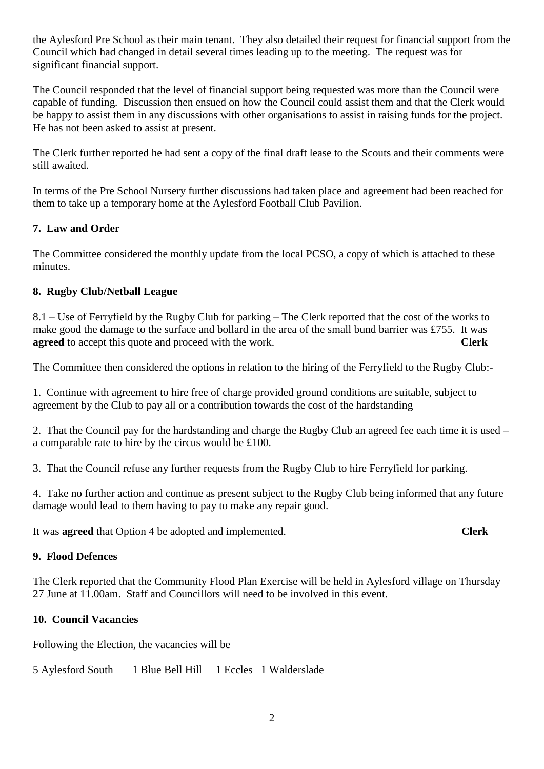the Aylesford Pre School as their main tenant. They also detailed their request for financial support from the Council which had changed in detail several times leading up to the meeting. The request was for significant financial support.

The Council responded that the level of financial support being requested was more than the Council were capable of funding. Discussion then ensued on how the Council could assist them and that the Clerk would be happy to assist them in any discussions with other organisations to assist in raising funds for the project. He has not been asked to assist at present.

The Clerk further reported he had sent a copy of the final draft lease to the Scouts and their comments were still awaited.

In terms of the Pre School Nursery further discussions had taken place and agreement had been reached for them to take up a temporary home at the Aylesford Football Club Pavilion.

### **7. Law and Order**

The Committee considered the monthly update from the local PCSO, a copy of which is attached to these minutes.

### **8. Rugby Club/Netball League**

8.1 – Use of Ferryfield by the Rugby Club for parking – The Clerk reported that the cost of the works to make good the damage to the surface and bollard in the area of the small bund barrier was £755. It was **agreed** to accept this quote and proceed with the work. **Clerk**

The Committee then considered the options in relation to the hiring of the Ferryfield to the Rugby Club:-

1. Continue with agreement to hire free of charge provided ground conditions are suitable, subject to agreement by the Club to pay all or a contribution towards the cost of the hardstanding

2. That the Council pay for the hardstanding and charge the Rugby Club an agreed fee each time it is used – a comparable rate to hire by the circus would be £100.

3. That the Council refuse any further requests from the Rugby Club to hire Ferryfield for parking.

4. Take no further action and continue as present subject to the Rugby Club being informed that any future damage would lead to them having to pay to make any repair good.

It was **agreed** that Option 4 be adopted and implemented. **Clerk**

#### **9. Flood Defences**

The Clerk reported that the Community Flood Plan Exercise will be held in Aylesford village on Thursday 27 June at 11.00am. Staff and Councillors will need to be involved in this event.

### **10. Council Vacancies**

Following the Election, the vacancies will be

5 Aylesford South 1 Blue Bell Hill 1 Eccles 1 Walderslade